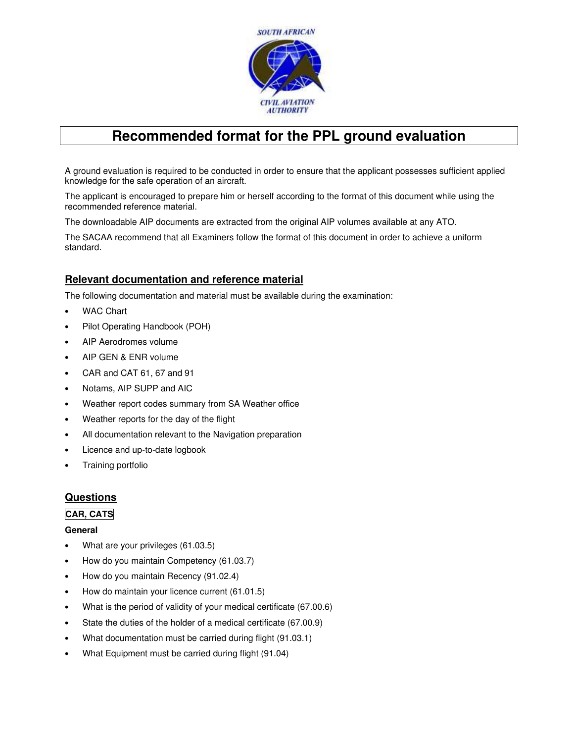

# **Recommended format for the PPL ground evaluation**

A ground evaluation is required to be conducted in order to ensure that the applicant possesses sufficient applied knowledge for the safe operation of an aircraft.

The applicant is encouraged to prepare him or herself according to the format of this document while using the recommended reference material.

The downloadable AIP documents are extracted from the original AIP volumes available at any ATO.

The SACAA recommend that all Examiners follow the format of this document in order to achieve a uniform standard.

## **Relevant documentation and reference material**

The following documentation and material must be available during the examination:

- WAC Chart
- Pilot Operating Handbook (POH)
- AIP Aerodromes volume
- AIP GEN & ENR volume
- CAR and CAT 61, 67 and 91
- Notams, AIP SUPP and AIC
- Weather report codes summary from SA Weather office
- Weather reports for the day of the flight
- All documentation relevant to the Navigation preparation
- Licence and up-to-date logbook
- Training portfolio

## **Questions**

#### **CAR, CATS**

#### **General**

- What are your privileges (61.03.5)
- How do you maintain Competency (61.03.7)
- How do you maintain Recency (91.02.4)
- How do maintain your licence current (61.01.5)
- What is the period of validity of your medical certificate (67.00.6)
- State the duties of the holder of a medical certificate (67.00.9)
- What documentation must be carried during flight (91.03.1)
- What Equipment must be carried during flight (91.04)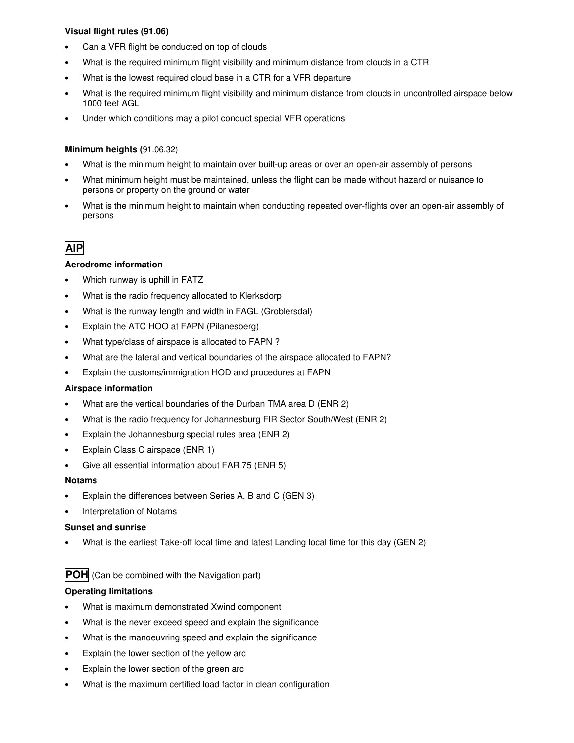#### **Visual flight rules (91.06)**

- Can a VFR flight be conducted on top of clouds
- What is the required minimum flight visibility and minimum distance from clouds in a CTR
- What is the lowest required cloud base in a CTR for a VFR departure
- What is the required minimum flight visibility and minimum distance from clouds in uncontrolled airspace below 1000 feet AGL
- Under which conditions may a pilot conduct special VFR operations

#### **Minimum heights (**91.06.32)

- What is the minimum height to maintain over built-up areas or over an open-air assembly of persons
- What minimum height must be maintained, unless the flight can be made without hazard or nuisance to persons or property on the ground or water
- What is the minimum height to maintain when conducting repeated over-flights over an open-air assembly of persons

## **AIP**

#### **Aerodrome information**

- Which runway is uphill in FATZ
- What is the radio frequency allocated to Klerksdorp
- What is the runway length and width in FAGL (Groblersdal)
- Explain the ATC HOO at FAPN (Pilanesberg)
- What type/class of airspace is allocated to FAPN ?
- What are the lateral and vertical boundaries of the airspace allocated to FAPN?
- Explain the customs/immigration HOD and procedures at FAPN

#### **Airspace information**

- What are the vertical boundaries of the Durban TMA area D (ENR 2)
- What is the radio frequency for Johannesburg FIR Sector South/West (ENR 2)
- Explain the Johannesburg special rules area (ENR 2)
- Explain Class C airspace (ENR 1)
- Give all essential information about FAR 75 (ENR 5)

#### **Notams**

- Explain the differences between Series A, B and C (GEN 3)
- Interpretation of Notams

#### **Sunset and sunrise**

• What is the earliest Take-off local time and latest Landing local time for this day (GEN 2)

### **POH** (Can be combined with the Navigation part)

#### **Operating limitations**

- What is maximum demonstrated Xwind component
- What is the never exceed speed and explain the significance
- What is the manoeuvring speed and explain the significance
- Explain the lower section of the yellow arc
- Explain the lower section of the green arc
- What is the maximum certified load factor in clean configuration